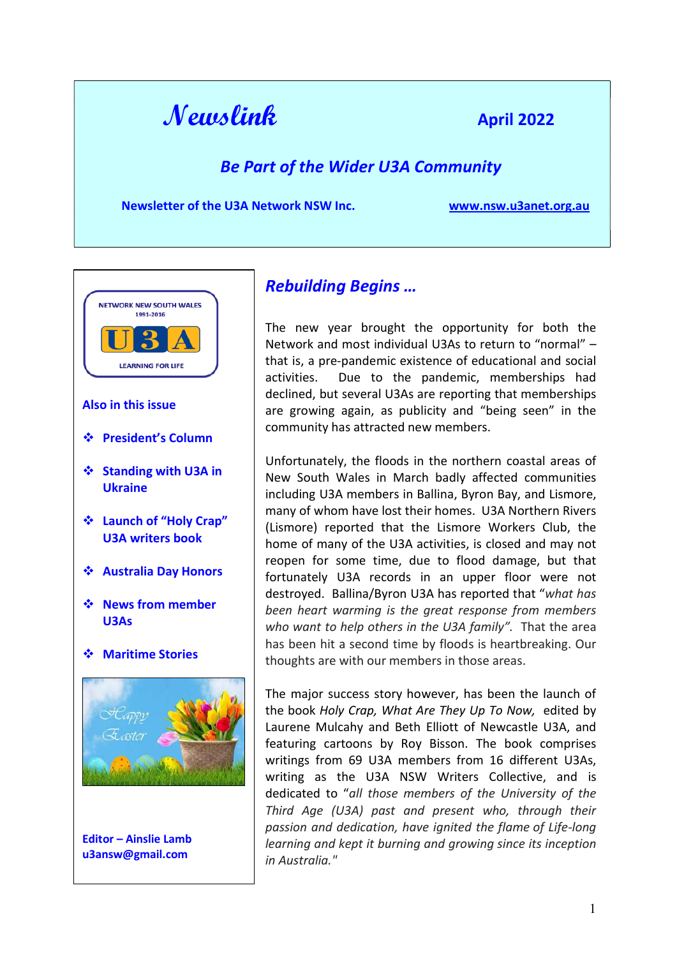

## Be Part of the Wider U3A Community

Newsletter of the U3A Network NSW Inc. www.nsw.u3anet.org.au



- President's Column
- ❖ Standing with U3A in Ukraine
- Launch of "Holy Crap" U3A writers book
- Australia Day Honors
- ❖ News from member U3As
- Maritime Stories



Editor – Ainslie Lamb u3answ@gmail.com

# Rebuilding Begins …

The new year brought the opportunity for both the Network and most individual U3As to return to "normal" – that is, a pre-pandemic existence of educational and social activities. Due to the pandemic, memberships had declined, but several U3As are reporting that memberships are growing again, as publicity and "being seen" in the community has attracted new members.

Unfortunately, the floods in the northern coastal areas of New South Wales in March badly affected communities including U3A members in Ballina, Byron Bay, and Lismore, many of whom have lost their homes. U3A Northern Rivers (Lismore) reported that the Lismore Workers Club, the home of many of the U3A activities, is closed and may not reopen for some time, due to flood damage, but that fortunately U3A records in an upper floor were not destroyed. Ballina/Byron U3A has reported that "what has been heart warming is the great response from members who want to help others in the U3A family". That the area has been hit a second time by floods is heartbreaking. Our thoughts are with our members in those areas.

The major success story however, has been the launch of the book Holy Crap, What Are They Up To Now, edited by Laurene Mulcahy and Beth Elliott of Newcastle U3A, and featuring cartoons by Roy Bisson. The book comprises writings from 69 U3A members from 16 different U3As, writing as the U3A NSW Writers Collective, and is dedicated to "all those members of the University of the Third Age (U3A) past and present who, through their passion and dedication, have ignited the flame of Life-long learning and kept it burning and growing since its inception in Australia."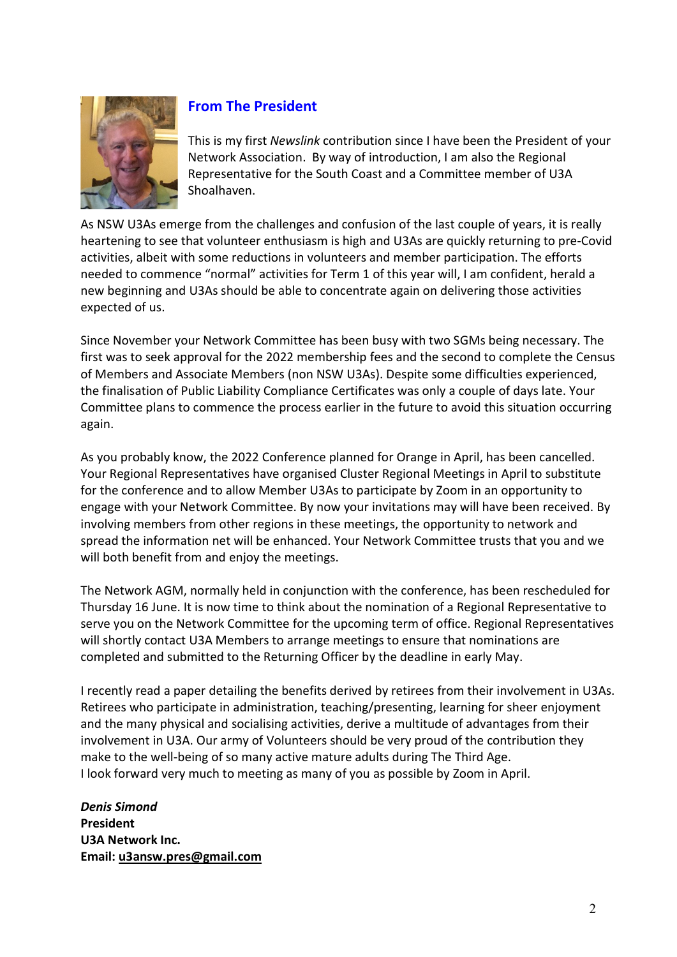

## From The President

This is my first Newslink contribution since I have been the President of your Network Association. By way of introduction, I am also the Regional Representative for the South Coast and a Committee member of U3A Shoalhaven.

As NSW U3As emerge from the challenges and confusion of the last couple of years, it is really heartening to see that volunteer enthusiasm is high and U3As are quickly returning to pre-Covid activities, albeit with some reductions in volunteers and member participation. The efforts needed to commence "normal" activities for Term 1 of this year will, I am confident, herald a new beginning and U3As should be able to concentrate again on delivering those activities expected of us.

Since November your Network Committee has been busy with two SGMs being necessary. The first was to seek approval for the 2022 membership fees and the second to complete the Census of Members and Associate Members (non NSW U3As). Despite some difficulties experienced, the finalisation of Public Liability Compliance Certificates was only a couple of days late. Your Committee plans to commence the process earlier in the future to avoid this situation occurring again.

As you probably know, the 2022 Conference planned for Orange in April, has been cancelled. Your Regional Representatives have organised Cluster Regional Meetings in April to substitute for the conference and to allow Member U3As to participate by Zoom in an opportunity to engage with your Network Committee. By now your invitations may will have been received. By involving members from other regions in these meetings, the opportunity to network and spread the information net will be enhanced. Your Network Committee trusts that you and we will both benefit from and enjoy the meetings.

The Network AGM, normally held in conjunction with the conference, has been rescheduled for Thursday 16 June. It is now time to think about the nomination of a Regional Representative to serve you on the Network Committee for the upcoming term of office. Regional Representatives will shortly contact U3A Members to arrange meetings to ensure that nominations are completed and submitted to the Returning Officer by the deadline in early May.

I recently read a paper detailing the benefits derived by retirees from their involvement in U3As. Retirees who participate in administration, teaching/presenting, learning for sheer enjoyment and the many physical and socialising activities, derive a multitude of advantages from their involvement in U3A. Our army of Volunteers should be very proud of the contribution they make to the well-being of so many active mature adults during The Third Age. I look forward very much to meeting as many of you as possible by Zoom in April.

Denis Simond President U3A Network Inc. Email: u3answ.pres@gmail.com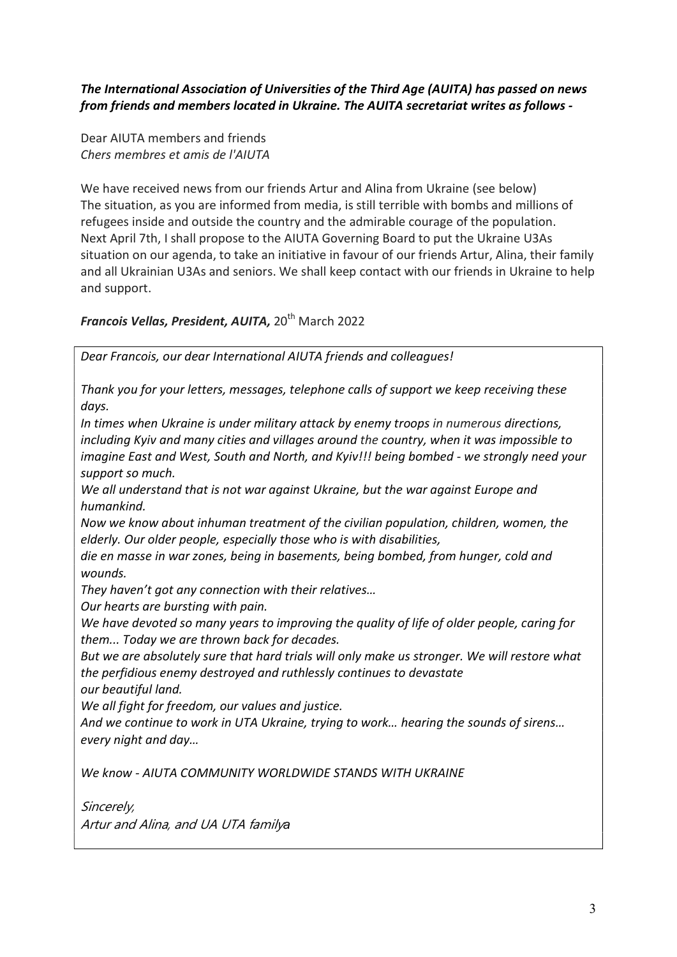## The International Association of Universities of the Third Age (AUITA) has passed on news from friends and members located in Ukraine. The AUITA secretariat writes as follows -

Dear AIUTA members and friends Chers membres et amis de l'AIUTA

We have received news from our friends Artur and Alina from Ukraine (see below) The situation, as you are informed from media, is still terrible with bombs and millions of refugees inside and outside the country and the admirable courage of the population. Next April 7th, I shall propose to the AIUTA Governing Board to put the Ukraine U3As situation on our agenda, to take an initiative in favour of our friends Artur, Alina, their family and all Ukrainian U3As and seniors. We shall keep contact with our friends in Ukraine to help and support.

Francois Vellas, President, AUITA, 20<sup>th</sup> March 2022

Dear Francois, our dear International AIUTA friends and colleagues!

Thank you for your letters, messages, telephone calls of support we keep receiving these days.

In times when Ukraine is under military attack by enemy troops in numerous directions, including Kyiv and many cities and villages around the country, when it was impossible to imagine East and West, South and North, and Kyiv!!! being bombed - we strongly need your support so much.

We all understand that is not war against Ukraine, but the war against Europe and humankind.

Now we know about inhuman treatment of the civilian population, children, women, the elderly. Our older people, especially those who is with disabilities,

die en masse in war zones, being in basements, being bombed, from hunger, cold and wounds.

They haven't got any connection with their relatives…

Our hearts are bursting with pain.

We have devoted so many years to improving the quality of life of older people, caring for them... Today we are thrown back for decades.

But we are absolutely sure that hard trials will only make us stronger. We will restore what the perfidious enemy destroyed and ruthlessly continues to devastate our beautiful land.

We all fight for freedom, our values and justice.

And we continue to work in UTA Ukraine, trying to work… hearing the sounds of sirens… every night and day…

We know - AIUTA COMMUNITY WORLDWIDE STANDS WITH UKRAINE

Sincerely, Artur and Alina, and UA UTA familyа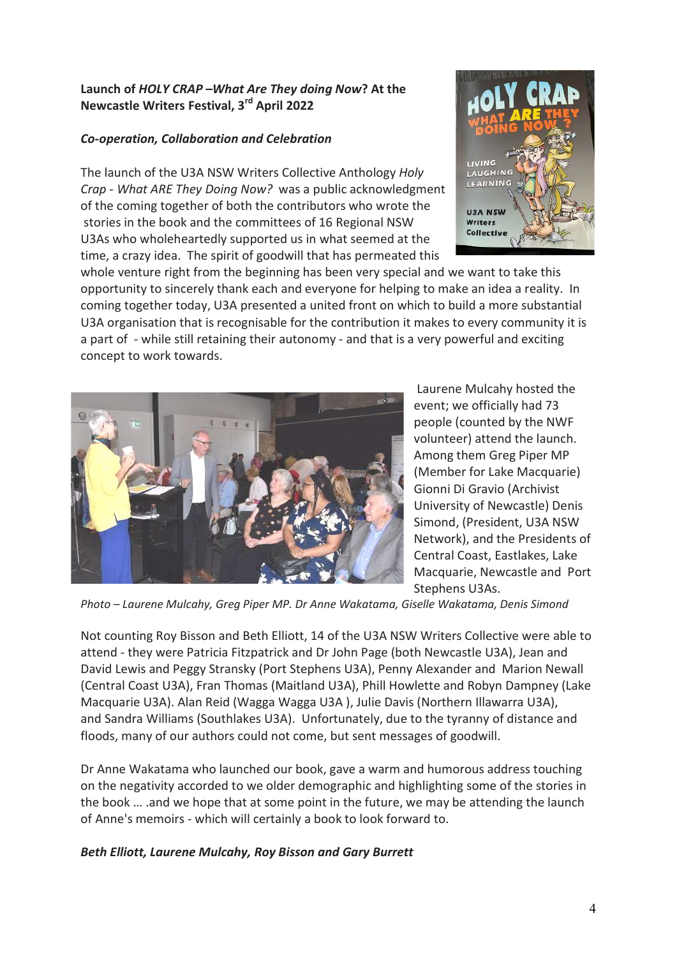### Launch of HOLY CRAP –What Are They doing Now? At the Newcastle Writers Festival, 3rd April 2022

## Co-operation, Collaboration and Celebration

The launch of the U3A NSW Writers Collective Anthology Holy Crap - What ARE They Doing Now? was a public acknowledgment of the coming together of both the contributors who wrote the stories in the book and the committees of 16 Regional NSW U3As who wholeheartedly supported us in what seemed at the time, a crazy idea. The spirit of goodwill that has permeated this



whole venture right from the beginning has been very special and we want to take this opportunity to sincerely thank each and everyone for helping to make an idea a reality. In coming together today, U3A presented a united front on which to build a more substantial U3A organisation that is recognisable for the contribution it makes to every community it is a part of - while still retaining their autonomy - and that is a very powerful and exciting concept to work towards.



 Laurene Mulcahy hosted the event; we officially had 73 people (counted by the NWF volunteer) attend the launch. Among them Greg Piper MP (Member for Lake Macquarie) Gionni Di Gravio (Archivist University of Newcastle) Denis Simond, (President, U3A NSW Network), and the Presidents of Central Coast, Eastlakes, Lake Macquarie, Newcastle and Port Stephens U3As.

Photo – Laurene Mulcahy, Greg Piper MP. Dr Anne Wakatama, Giselle Wakatama, Denis Simond

Not counting Roy Bisson and Beth Elliott, 14 of the U3A NSW Writers Collective were able to attend - they were Patricia Fitzpatrick and Dr John Page (both Newcastle U3A), Jean and David Lewis and Peggy Stransky (Port Stephens U3A), Penny Alexander and Marion Newall (Central Coast U3A), Fran Thomas (Maitland U3A), Phill Howlette and Robyn Dampney (Lake Macquarie U3A). Alan Reid (Wagga Wagga U3A ), Julie Davis (Northern Illawarra U3A), and Sandra Williams (Southlakes U3A). Unfortunately, due to the tyranny of distance and floods, many of our authors could not come, but sent messages of goodwill.

Dr Anne Wakatama who launched our book, gave a warm and humorous address touching on the negativity accorded to we older demographic and highlighting some of the stories in the book … .and we hope that at some point in the future, we may be attending the launch of Anne's memoirs - which will certainly a book to look forward to.

### Beth Elliott, Laurene Mulcahy, Roy Bisson and Gary Burrett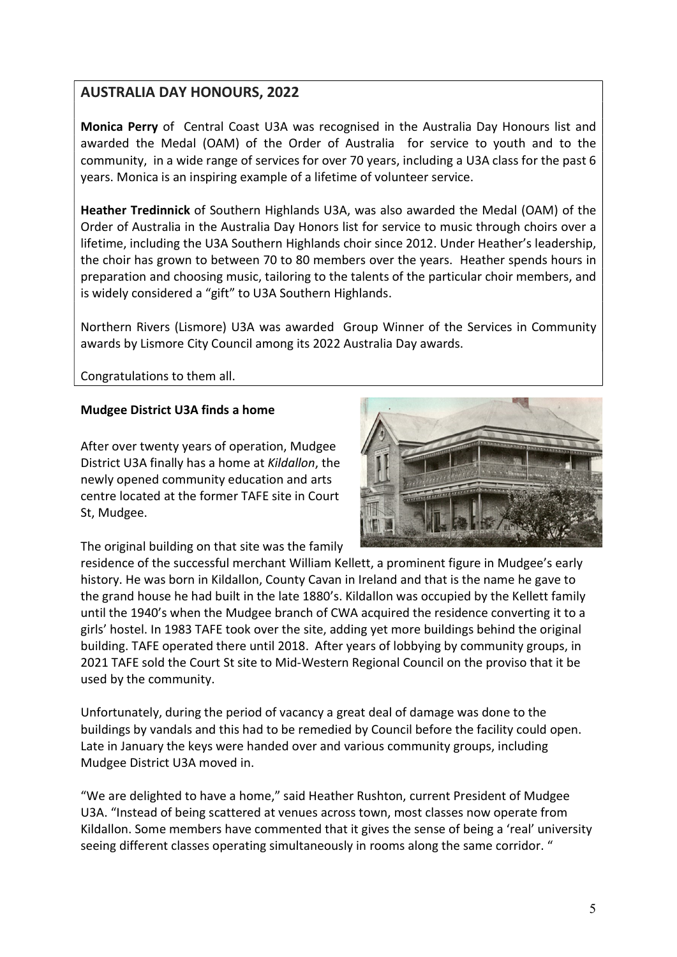## AUSTRALIA DAY HONOURS, 2022

Monica Perry of Central Coast U3A was recognised in the Australia Day Honours list and awarded the Medal (OAM) of the Order of Australia for service to youth and to the community, in a wide range of services for over 70 years, including a U3A class for the past 6 years. Monica is an inspiring example of a lifetime of volunteer service.

Heather Tredinnick of Southern Highlands U3A, was also awarded the Medal (OAM) of the Order of Australia in the Australia Day Honors list for service to music through choirs over a lifetime, including the U3A Southern Highlands choir since 2012. Under Heather's leadership, the choir has grown to between 70 to 80 members over the years. Heather spends hours in preparation and choosing music, tailoring to the talents of the particular choir members, and is widely considered a "gift" to U3A Southern Highlands.

Northern Rivers (Lismore) U3A was awarded Group Winner of the Services in Community awards by Lismore City Council among its 2022 Australia Day awards.

Congratulations to them all.

#### Mudgee District U3A finds a home

After over twenty years of operation, Mudgee District U3A finally has a home at Kildallon, the newly opened community education and arts centre located at the former TAFE site in Court St, Mudgee.



The original building on that site was the family

residence of the successful merchant William Kellett, a prominent figure in Mudgee's early history. He was born in Kildallon, County Cavan in Ireland and that is the name he gave to the grand house he had built in the late 1880's. Kildallon was occupied by the Kellett family until the 1940's when the Mudgee branch of CWA acquired the residence converting it to a girls' hostel. In 1983 TAFE took over the site, adding yet more buildings behind the original building. TAFE operated there until 2018. After years of lobbying by community groups, in 2021 TAFE sold the Court St site to Mid-Western Regional Council on the proviso that it be used by the community.

Unfortunately, during the period of vacancy a great deal of damage was done to the buildings by vandals and this had to be remedied by Council before the facility could open. Late in January the keys were handed over and various community groups, including Mudgee District U3A moved in.

"We are delighted to have a home," said Heather Rushton, current President of Mudgee U3A. "Instead of being scattered at venues across town, most classes now operate from Kildallon. Some members have commented that it gives the sense of being a 'real' university seeing different classes operating simultaneously in rooms along the same corridor. "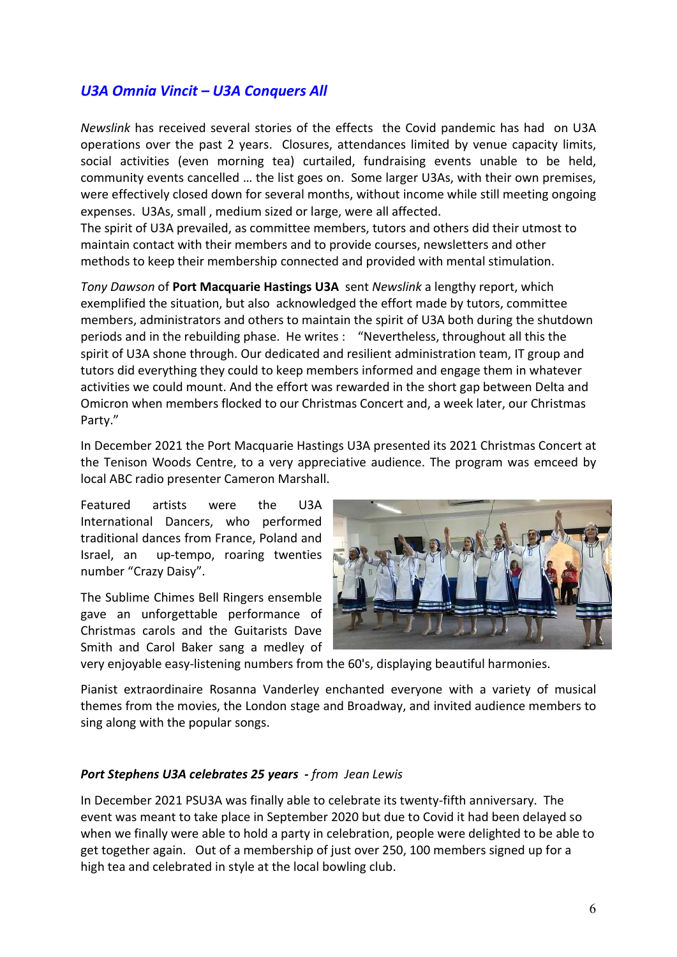## U3A Omnia Vincit – U3A Conquers All

Newslink has received several stories of the effects the Covid pandemic has had on U3A operations over the past 2 years. Closures, attendances limited by venue capacity limits, social activities (even morning tea) curtailed, fundraising events unable to be held, community events cancelled … the list goes on. Some larger U3As, with their own premises, were effectively closed down for several months, without income while still meeting ongoing expenses. U3As, small , medium sized or large, were all affected.

The spirit of U3A prevailed, as committee members, tutors and others did their utmost to maintain contact with their members and to provide courses, newsletters and other methods to keep their membership connected and provided with mental stimulation.

Tony Dawson of Port Macquarie Hastings U3A sent Newslink a lengthy report, which exemplified the situation, but also acknowledged the effort made by tutors, committee members, administrators and others to maintain the spirit of U3A both during the shutdown periods and in the rebuilding phase. He writes : "Nevertheless, throughout all this the spirit of U3A shone through. Our dedicated and resilient administration team, IT group and tutors did everything they could to keep members informed and engage them in whatever activities we could mount. And the effort was rewarded in the short gap between Delta and Omicron when members flocked to our Christmas Concert and, a week later, our Christmas Party."

In December 2021 the Port Macquarie Hastings U3A presented its 2021 Christmas Concert at the Tenison Woods Centre, to a very appreciative audience. The program was emceed by local ABC radio presenter Cameron Marshall.

Featured artists were the U3A International Dancers, who performed traditional dances from France, Poland and Israel, an up-tempo, roaring twenties number "Crazy Daisy".

The Sublime Chimes Bell Ringers ensemble gave an unforgettable performance of Christmas carols and the Guitarists Dave Smith and Carol Baker sang a medley of



very enjoyable easy-listening numbers from the 60's, displaying beautiful harmonies.

Pianist extraordinaire Rosanna Vanderley enchanted everyone with a variety of musical themes from the movies, the London stage and Broadway, and invited audience members to sing along with the popular songs.

#### Port Stephens U3A celebrates 25 years - from Jean Lewis

In December 2021 PSU3A was finally able to celebrate its twenty-fifth anniversary. The event was meant to take place in September 2020 but due to Covid it had been delayed so when we finally were able to hold a party in celebration, people were delighted to be able to get together again. Out of a membership of just over 250, 100 members signed up for a high tea and celebrated in style at the local bowling club.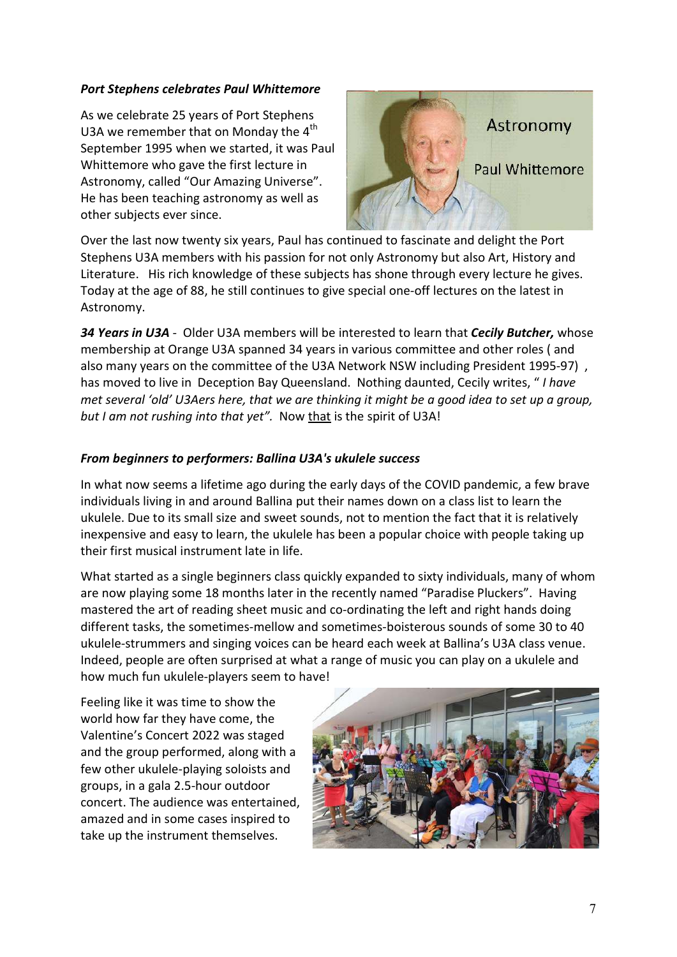#### Port Stephens celebrates Paul Whittemore

As we celebrate 25 years of Port Stephens U3A we remember that on Monday the  $4<sup>th</sup>$ September 1995 when we started, it was Paul Whittemore who gave the first lecture in Astronomy, called "Our Amazing Universe". He has been teaching astronomy as well as other subjects ever since.



Over the last now twenty six years, Paul has continued to fascinate and delight the Port Stephens U3A members with his passion for not only Astronomy but also Art, History and Literature. His rich knowledge of these subjects has shone through every lecture he gives. Today at the age of 88, he still continues to give special one-off lectures on the latest in Astronomy.

34 Years in U3A - Older U3A members will be interested to learn that Cecily Butcher, whose membership at Orange U3A spanned 34 years in various committee and other roles ( and also many years on the committee of the U3A Network NSW including President 1995-97), has moved to live in Deception Bay Queensland. Nothing daunted, Cecily writes, "I have met several 'old' U3Aers here, that we are thinking it might be a good idea to set up a group, but I am not rushing into that yet". Now that is the spirit of U3A!

### From beginners to performers: Ballina U3A's ukulele success

In what now seems a lifetime ago during the early days of the COVID pandemic, a few brave individuals living in and around Ballina put their names down on a class list to learn the ukulele. Due to its small size and sweet sounds, not to mention the fact that it is relatively inexpensive and easy to learn, the ukulele has been a popular choice with people taking up their first musical instrument late in life.

What started as a single beginners class quickly expanded to sixty individuals, many of whom are now playing some 18 months later in the recently named "Paradise Pluckers". Having mastered the art of reading sheet music and co-ordinating the left and right hands doing different tasks, the sometimes-mellow and sometimes-boisterous sounds of some 30 to 40 ukulele-strummers and singing voices can be heard each week at Ballina's U3A class venue. Indeed, people are often surprised at what a range of music you can play on a ukulele and how much fun ukulele-players seem to have!

Feeling like it was time to show the world how far they have come, the Valentine's Concert 2022 was staged and the group performed, along with a few other ukulele-playing soloists and groups, in a gala 2.5-hour outdoor concert. The audience was entertained, amazed and in some cases inspired to take up the instrument themselves.

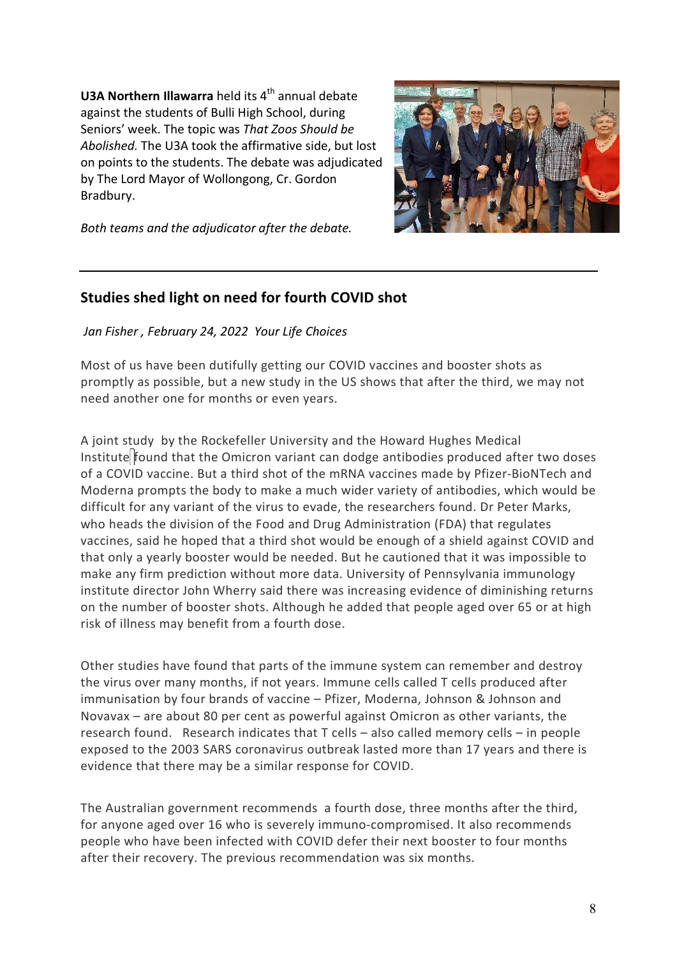**U3A Northern Illawarra** held its  $4<sup>th</sup>$  annual debate against the students of Bulli High School, during Seniors' week. The topic was That Zoos Should be Abolished. The U3A took the affirmative side, but lost on points to the students. The debate was adjudicated by The Lord Mayor of Wollongong, Cr. Gordon Bradbury.



Both teams and the adjudicator after the debate.

## Studies shed light on need for fourth COVID shot

Jan Fisher , February 24, 2022 Your Life Choices

Most of us have been dutifully getting our COVID vaccines and booster shots as promptly as possible, but a new study in the US shows that after the third, we may not need another one for months or even years.

A joint study by the Rockefeller University and the Howard Hughes Medical Institute found that the Omicron variant can dodge antibodies produced after two doses of a COVID vaccine. But a third shot of the mRNA vaccines made by Pfizer-BioNTech and Moderna prompts the body to make a much wider variety of antibodies, which would be difficult for any variant of the virus to evade, the researchers found. Dr Peter Marks, who heads the division of the Food and Drug Administration (FDA) that regulates vaccines, said he hoped that a third shot would be enough of a shield against COVID and that only a yearly booster would be needed. But he cautioned that it was impossible to make any firm prediction without more data. University of Pennsylvania immunology institute director John Wherry said there was increasing evidence of diminishing returns on the number of booster shots. Although he added that people aged over 65 or at high risk of illness may benefit from a fourth dose.

Other studies have found that parts of the immune system can remember and destroy the virus over many months, if not years. Immune cells called T cells produced after immunisation by four brands of vaccine – Pfizer, Moderna, Johnson & Johnson and Novavax – are about 80 per cent as powerful against Omicron as other variants, the research found. Research indicates that T cells – also called memory cells – in people exposed to the 2003 SARS coronavirus outbreak lasted more than 17 years and there is evidence that there may be a similar response for COVID.

The Australian government recommends a fourth dose, three months after the third, for anyone aged over 16 who is severely immuno-compromised. It also recommends people who have been infected with COVID defer their next booster to four months after their recovery. The previous recommendation was six months.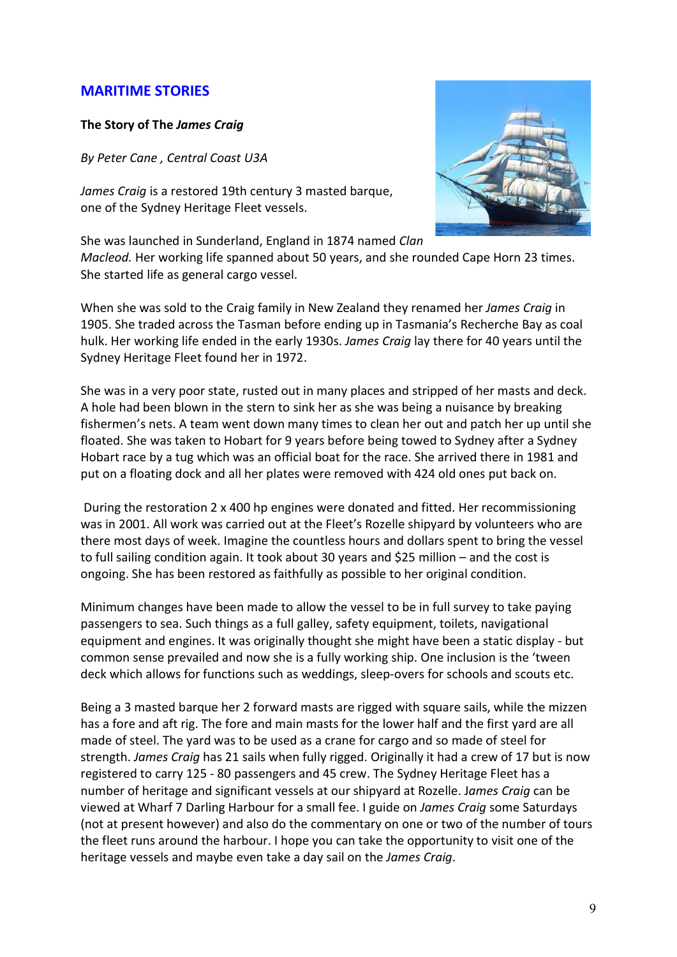## MARITIME STORIES

#### The Story of The James Craig

By Peter Cane , Central Coast U3A

James Craig is a restored 19th century 3 masted barque, one of the Sydney Heritage Fleet vessels.



She was launched in Sunderland, England in 1874 named Clan Macleod. Her working life spanned about 50 years, and she rounded Cape Horn 23 times. She started life as general cargo vessel.

When she was sold to the Craig family in New Zealand they renamed her James Craig in 1905. She traded across the Tasman before ending up in Tasmania's Recherche Bay as coal hulk. Her working life ended in the early 1930s. James Craig lay there for 40 years until the Sydney Heritage Fleet found her in 1972.

She was in a very poor state, rusted out in many places and stripped of her masts and deck. A hole had been blown in the stern to sink her as she was being a nuisance by breaking fishermen's nets. A team went down many times to clean her out and patch her up until she floated. She was taken to Hobart for 9 years before being towed to Sydney after a Sydney Hobart race by a tug which was an official boat for the race. She arrived there in 1981 and put on a floating dock and all her plates were removed with 424 old ones put back on.

 During the restoration 2 x 400 hp engines were donated and fitted. Her recommissioning was in 2001. All work was carried out at the Fleet's Rozelle shipyard by volunteers who are there most days of week. Imagine the countless hours and dollars spent to bring the vessel to full sailing condition again. It took about 30 years and \$25 million – and the cost is ongoing. She has been restored as faithfully as possible to her original condition.

Minimum changes have been made to allow the vessel to be in full survey to take paying passengers to sea. Such things as a full galley, safety equipment, toilets, navigational equipment and engines. It was originally thought she might have been a static display - but common sense prevailed and now she is a fully working ship. One inclusion is the 'tween deck which allows for functions such as weddings, sleep-overs for schools and scouts etc.

Being a 3 masted barque her 2 forward masts are rigged with square sails, while the mizzen has a fore and aft rig. The fore and main masts for the lower half and the first yard are all made of steel. The yard was to be used as a crane for cargo and so made of steel for strength. James Craig has 21 sails when fully rigged. Originally it had a crew of 17 but is now registered to carry 125 - 80 passengers and 45 crew. The Sydney Heritage Fleet has a number of heritage and significant vessels at our shipyard at Rozelle. James Craig can be viewed at Wharf 7 Darling Harbour for a small fee. I guide on James Craig some Saturdays (not at present however) and also do the commentary on one or two of the number of tours the fleet runs around the harbour. I hope you can take the opportunity to visit one of the heritage vessels and maybe even take a day sail on the James Craig.